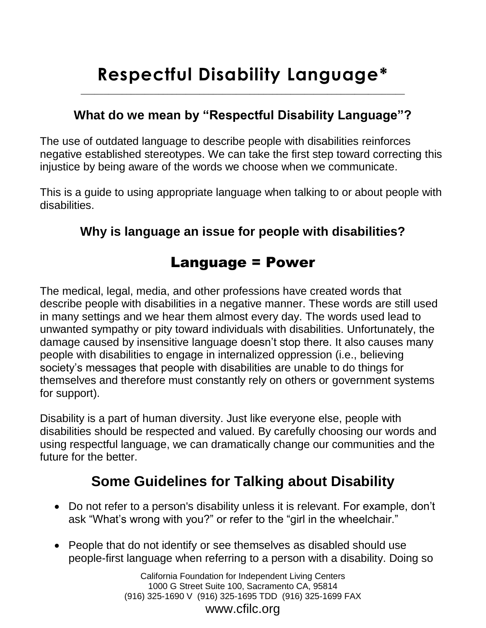# **Respectful Disability Language\***

 $\_$  , and the set of the set of the set of the set of the set of the set of the set of the set of the set of the set of the set of the set of the set of the set of the set of the set of the set of the set of the set of th

### **What do we mean by "Respectful Disability Language"?**

The use of outdated language to describe people with disabilities reinforces negative established stereotypes. We can take the first step toward correcting this injustice by being aware of the words we choose when we communicate.

This is a guide to using appropriate language when talking to or about people with disabilities.

## **Why is language an issue for people with disabilities?**

# Language = Power

The medical, legal, media, and other professions have created words that describe people with disabilities in a negative manner. These words are still used in many settings and we hear them almost every day. The words used lead to unwanted sympathy or pity toward individuals with disabilities. Unfortunately, the damage caused by insensitive language doesn't stop there. It also causes many people with disabilities to engage in internalized oppression (i.e., believing society's messages that people with disabilities are unable to do things for themselves and therefore must constantly rely on others or government systems for support).

Disability is a part of human diversity. Just like everyone else, people with disabilities should be respected and valued. By carefully choosing our words and using respectful language, we can dramatically change our communities and the future for the better.

# **Some Guidelines for Talking about Disability**

- Do not refer to a person's disability unless it is relevant. For example, don't ask "What's wrong with you?" or refer to the "girl in the wheelchair."
- People that do not identify or see themselves as disabled should use people-first language when referring to a person with a disability. Doing so

California Foundation for Independent Living Centers 1000 G Street Suite 100, Sacramento CA, 95814 (916) 325-1690 V (916) 325-1695 TDD (916) 325-1699 FAX www.cfilc.org